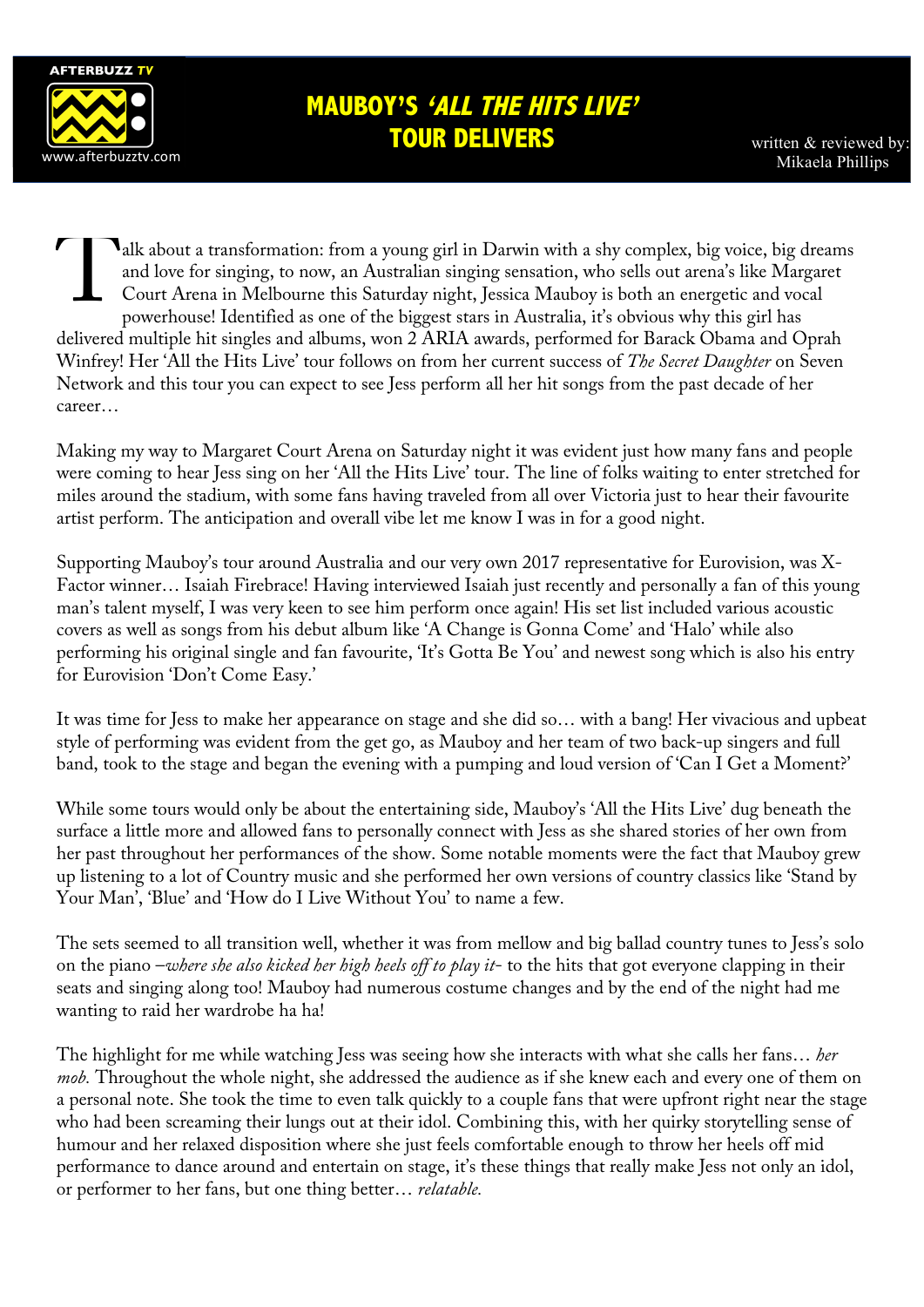

## **MAUBOY'S 'ALL THE HITS LIVE' TOUR DELIVERS**

written & reviewed by

alk about a transformation: from a young girl in Darwin with a shy complex, big voice, big dreams and love for singing, to now, an Australian singing sensation, who sells out arena's like Margaret Court Arena in Melbourne this Saturday night, Jessica Mauboy is both an energetic and vocal powerhouse! Identified as one of the biggest stars in Australia, it's obvious why this girl has delivered multiple hit singles and albums, won 2 ARIA awards, performed for Barack Obama and Oprah Winfrey! Her 'All the Hits Live' tour follows on from her current success of *The Secret Daughter* on Seven Network and this tour you can expect to see Jess perform all her hit songs from the past decade of her career… T

Making my way to Margaret Court Arena on Saturday night it was evident just how many fans and people were coming to hear Jess sing on her 'All the Hits Live' tour. The line of folks waiting to enter stretched for miles around the stadium, with some fans having traveled from all over Victoria just to hear their favourite artist perform. The anticipation and overall vibe let me know I was in for a good night.

Supporting Mauboy's tour around Australia and our very own 2017 representative for Eurovision, was X-Factor winner… Isaiah Firebrace! Having interviewed Isaiah just recently and personally a fan of this young man's talent myself, I was very keen to see him perform once again! His set list included various acoustic covers as well as songs from his debut album like 'A Change is Gonna Come' and 'Halo' while also performing his original single and fan favourite, 'It's Gotta Be You' and newest song which is also his entry for Eurovision 'Don't Come Easy.'

It was time for Jess to make her appearance on stage and she did so… with a bang! Her vivacious and upbeat style of performing was evident from the get go, as Mauboy and her team of two back-up singers and full band, took to the stage and began the evening with a pumping and loud version of 'Can I Get a Moment?'

While some tours would only be about the entertaining side, Mauboy's 'All the Hits Live' dug beneath the surface a little more and allowed fans to personally connect with Jess as she shared stories of her own from her past throughout her performances of the show. Some notable moments were the fact that Mauboy grew up listening to a lot of Country music and she performed her own versions of country classics like 'Stand by Your Man', 'Blue' and 'How do I Live Without You' to name a few.

The sets seemed to all transition well, whether it was from mellow and big ballad country tunes to Jess's solo on the piano –*where she also kicked her high heels off to play it*- to the hits that got everyone clapping in their seats and singing along too! Mauboy had numerous costume changes and by the end of the night had me wanting to raid her wardrobe ha ha!

The highlight for me while watching Jess was seeing how she interacts with what she calls her fans… *her mob.* Throughout the whole night, she addressed the audience as if she knew each and every one of them on a personal note. She took the time to even talk quickly to a couple fans that were upfront right near the stage who had been screaming their lungs out at their idol. Combining this, with her quirky storytelling sense of humour and her relaxed disposition where she just feels comfortable enough to throw her heels off mid performance to dance around and entertain on stage, it's these things that really make Jess not only an idol, or performer to her fans, but one thing better… *relatable.*